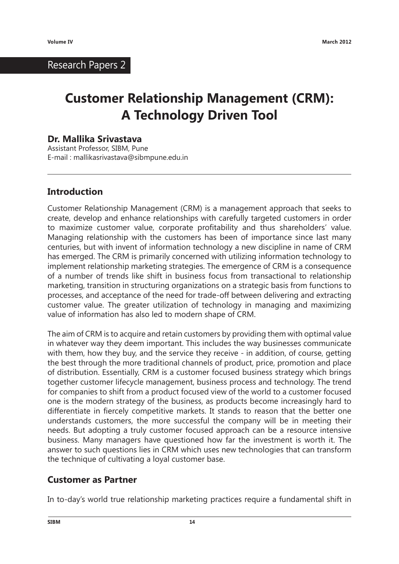### Research Papers 2

# **Customer Relationship Management (CRM): A Technology Driven Tool**

#### **Dr. Mallika Srivastava**

Assistant Professor, SIBM, Pune E-mail : mallikasrivastava@sibmpune.edu.in

#### **Introduction**

Customer Relationship Management (CRM) is a management approach that seeks to create, develop and enhance relationships with carefully targeted customers in order to maximize customer value, corporate profitability and thus shareholders' value. Managing relationship with the customers has been of importance since last many centuries, but with invent of information technology a new discipline in name of CRM has emerged. The CRM is primarily concerned with utilizing information technology to implement relationship marketing strategies. The emergence of CRM is a consequence of a number of trends like shift in business focus from transactional to relationship marketing, transition in structuring organizations on a strategic basis from functions to processes, and acceptance of the need for trade-off between delivering and extracting customer value. The greater utilization of technology in managing and maximizing value of information has also led to modern shape of CRM.

The aim of CRM is to acquire and retain customers by providing them with optimal value in whatever way they deem important. This includes the way businesses communicate with them, how they buy, and the service they receive - in addition, of course, getting the best through the more traditional channels of product, price, promotion and place of distribution. Essentially, CRM is a customer focused business strategy which brings together customer lifecycle management, business process and technology. The trend for companies to shift from a product focused view of the world to a customer focused one is the modern strategy of the business, as products become increasingly hard to differentiate in fiercely competitive markets. It stands to reason that the better one understands customers, the more successful the company will be in meeting their needs. But adopting a truly customer focused approach can be a resource intensive business. Many managers have questioned how far the investment is worth it. The answer to such questions lies in CRM which uses new technologies that can transform the technique of cultivating a loyal customer base.

#### **Customer as Partner**

In to-day's world true relationship marketing practices require a fundamental shift in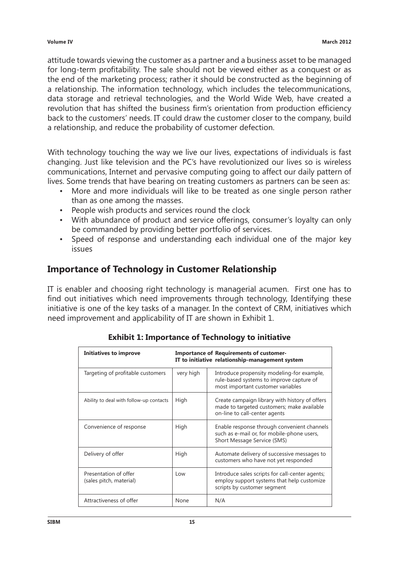attitude towards viewing the customer as a partner and a business asset to be managed for long-term profitability. The sale should not be viewed either as a conquest or as the end of the marketing process; rather it should be constructed as the beginning of a relationship. The information technology, which includes the telecommunications, data storage and retrieval technologies, and the World Wide Web, have created a revolution that has shifted the business firm's orientation from production efficiency back to the customers' needs. IT could draw the customer closer to the company, build a relationship, and reduce the probability of customer defection.

With technology touching the way we live our lives, expectations of individuals is fast changing. Just like television and the PC's have revolutionized our lives so is wireless communications, Internet and pervasive computing going to affect our daily pattern of lives. Some trends that have bearing on treating customers as partners can be seen as:

- More and more individuals will like to be treated as one single person rather than as one among the masses.
- People wish products and services round the clock
- With abundance of product and service offerings, consumer's loyalty can only be commanded by providing better portfolio of services.
- Speed of response and understanding each individual one of the major key issues

### **Importance of Technology in Customer Relationship**

IT is enabler and choosing right technology is managerial acumen. First one has to find out initiatives which need improvements through technology, Identifying these initiative is one of the key tasks of a manager. In the context of CRM, initiatives which need improvement and applicability of IT are shown in Exhibit 1.

| Initiatives to improve                           | <b>Importance of Requirements of customer-</b><br>IT to initiative relationship-management system |                                                                                                                               |
|--------------------------------------------------|---------------------------------------------------------------------------------------------------|-------------------------------------------------------------------------------------------------------------------------------|
| Targeting of profitable customers                | very high                                                                                         | Introduce propensity modeling-for example,<br>rule-based systems to improve capture of<br>most important customer variables   |
| Ability to deal with follow-up contacts          | High                                                                                              | Create campaign library with history of offers<br>made to targeted customers; make available<br>on-line to call-center agents |
| Convenience of response                          | High                                                                                              | Enable response through convenient channels<br>such as e-mail or, for mobile-phone users,<br>Short Message Service (SMS)      |
| Delivery of offer                                | High                                                                                              | Automate delivery of successive messages to<br>customers who have not yet responded                                           |
| Presentation of offer<br>(sales pitch, material) | Low                                                                                               | Introduce sales scripts for call-center agents;<br>employ support systems that help customize<br>scripts by customer segment  |
| Attractiveness of offer                          | None                                                                                              | N/A                                                                                                                           |

|  | <b>Exhibit 1: Importance of Technology to initiative</b> |
|--|----------------------------------------------------------|
|--|----------------------------------------------------------|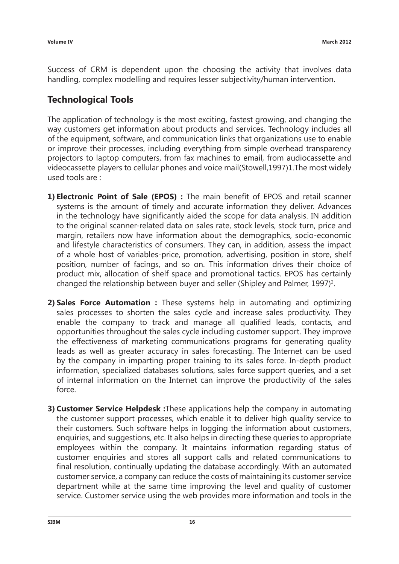Success of CRM is dependent upon the choosing the activity that involves data handling, complex modelling and requires lesser subjectivity/human intervention.

# **Technological Tools**

The application of technology is the most exciting, fastest growing, and changing the way customers get information about products and services. Technology includes all of the equipment, software, and communication links that organizations use to enable or improve their processes, including everything from simple overhead transparency projectors to laptop computers, from fax machines to email, from audiocassette and videocassette players to cellular phones and voice mail(Stowell,1997)1.The most widely used tools are :

- **1) Electronic Point of Sale (EPOS) :** The main benefit of EPOS and retail scanner systems is the amount of timely and accurate information they deliver. Advances in the technology have significantly aided the scope for data analysis. IN addition to the original scanner-related data on sales rate, stock levels, stock turn, price and margin, retailers now have information about the demographics, socio-economic and lifestyle characteristics of consumers. They can, in addition, assess the impact of a whole host of variables-price, promotion, advertising, position in store, shelf position, number of facings, and so on. This information drives their choice of product mix, allocation of shelf space and promotional tactics. EPOS has certainly changed the relationship between buyer and seller (Shipley and Palmer, 1997)<sup>2</sup>.
- **2) Sales Force Automation :** These systems help in automating and optimizing sales processes to shorten the sales cycle and increase sales productivity. They enable the company to track and manage all qualified leads, contacts, and opportunities throughout the sales cycle including customer support. They improve the effectiveness of marketing communications programs for generating quality leads as well as greater accuracy in sales forecasting. The Internet can be used by the company in imparting proper training to its sales force. In-depth product information, specialized databases solutions, sales force support queries, and a set of internal information on the Internet can improve the productivity of the sales force.
- **3) Customer Service Helpdesk :**These applications help the company in automating the customer support processes, which enable it to deliver high quality service to their customers. Such software helps in logging the information about customers, enquiries, and suggestions, etc. It also helps in directing these queries to appropriate employees within the company. It maintains information regarding status of customer enquiries and stores all support calls and related communications to final resolution, continually updating the database accordingly. With an automated customer service, a company can reduce the costs of maintaining its customer service department while at the same time improving the level and quality of customer service. Customer service using the web provides more information and tools in the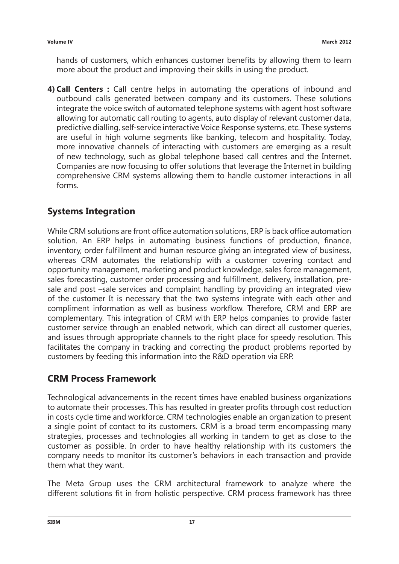hands of customers, which enhances customer benefits by allowing them to learn more about the product and improving their skills in using the product.

**4) Call Centers :** Call centre helps in automating the operations of inbound and outbound calls generated between company and its customers. These solutions integrate the voice switch of automated telephone systems with agent host software allowing for automatic call routing to agents, auto display of relevant customer data, predictive dialling, self-service interactive Voice Response systems, etc. These systems are useful in high volume segments like banking, telecom and hospitality. Today, more innovative channels of interacting with customers are emerging as a result of new technology, such as global telephone based call centres and the Internet. Companies are now focusing to offer solutions that leverage the Internet in building comprehensive CRM systems allowing them to handle customer interactions in all forms.

# **Systems Integration**

While CRM solutions are front office automation solutions, ERP is back office automation solution. An ERP helps in automating business functions of production, finance, inventory, order fulfillment and human resource giving an integrated view of business, whereas CRM automates the relationship with a customer covering contact and opportunity management, marketing and product knowledge, sales force management, sales forecasting, customer order processing and fulfillment, delivery, installation, presale and post –sale services and complaint handling by providing an integrated view of the customer It is necessary that the two systems integrate with each other and compliment information as well as business workflow. Therefore, CRM and ERP are complementary. This integration of CRM with ERP helps companies to provide faster customer service through an enabled network, which can direct all customer queries, and issues through appropriate channels to the right place for speedy resolution. This facilitates the company in tracking and correcting the product problems reported by customers by feeding this information into the R&D operation via ERP.

# **CRM Process Framework**

Technological advancements in the recent times have enabled business organizations to automate their processes. This has resulted in greater profits through cost reduction in costs cycle time and workforce. CRM technologies enable an organization to present a single point of contact to its customers. CRM is a broad term encompassing many strategies, processes and technologies all working in tandem to get as close to the customer as possible. In order to have healthy relationship with its customers the company needs to monitor its customer's behaviors in each transaction and provide them what they want.

The Meta Group uses the CRM architectural framework to analyze where the different solutions fit in from holistic perspective. CRM process framework has three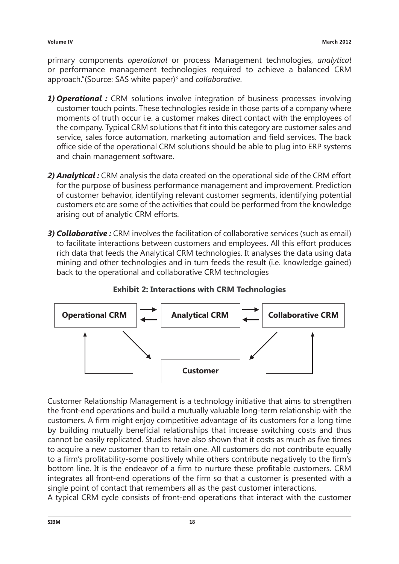primary components *operational* or process Management technologies, *analytical* or performance management technologies required to achieve a balanced CRM approach."(Source: SAS white paper)<sup>3</sup> and *collaborative*.

- *1) Operational :* CRM solutions involve integration of business processes involving customer touch points. These technologies reside in those parts of a company where moments of truth occur i.e. a customer makes direct contact with the employees of the company. Typical CRM solutions that fit into this category are customer sales and service, sales force automation, marketing automation and field services. The back office side of the operational CRM solutions should be able to plug into ERP systems and chain management software.
- *2) Analytical :* CRM analysis the data created on the operational side of the CRM effort for the purpose of business performance management and improvement. Prediction of customer behavior, identifying relevant customer segments, identifying potential customers etc are some of the activities that could be performed from the knowledge arising out of analytic CRM efforts.
- *3) Collaborative :* CRM involves the facilitation of collaborative services (such as email) to facilitate interactions between customers and employees. All this effort produces rich data that feeds the Analytical CRM technologies. It analyses the data using data mining and other technologies and in turn feeds the result (i.e. knowledge gained) back to the operational and collaborative CRM technologies



#### **Exhibit 2: Interactions with CRM Technologies**

Customer Relationship Management is a technology initiative that aims to strengthen the front-end operations and build a mutually valuable long-term relationship with the customers. A firm might enjoy competitive advantage of its customers for a long time by building mutually beneficial relationships that increase switching costs and thus cannot be easily replicated. Studies have also shown that it costs as much as five times to acquire a new customer than to retain one. All customers do not contribute equally to a firm's profitability-some positively while others contribute negatively to the firm's bottom line. It is the endeavor of a firm to nurture these profitable customers. CRM integrates all front-end operations of the firm so that a customer is presented with a single point of contact that remembers all as the past customer interactions.

A typical CRM cycle consists of front-end operations that interact with the customer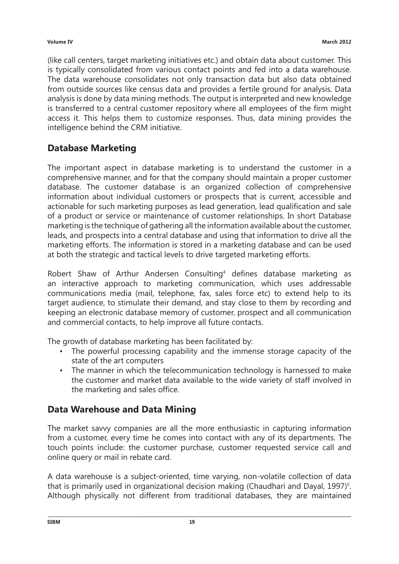(like call centers, target marketing initiatives etc.) and obtain data about customer. This is typically consolidated from various contact points and fed into a data warehouse. The data warehouse consolidates not only transaction data but also data obtained from outside sources like census data and provides a fertile ground for analysis. Data analysis is done by data mining methods. The output is interpreted and new knowledge is transferred to a central customer repository where all employees of the firm might access it. This helps them to customize responses. Thus, data mining provides the intelligence behind the CRM initiative.

# **Database Marketing**

The important aspect in database marketing is to understand the customer in a comprehensive manner, and for that the company should maintain a proper customer database. The customer database is an organized collection of comprehensive information about individual customers or prospects that is current, accessible and actionable for such marketing purposes as lead generation, lead qualification and sale of a product or service or maintenance of customer relationships. In short Database marketing is the technique of gathering all the information available about the customer, leads, and prospects into a central database and using that information to drive all the marketing efforts. The information is stored in a marketing database and can be used at both the strategic and tactical levels to drive targeted marketing efforts.

Robert Shaw of Arthur Andersen Consulting<sup>4</sup> defines database marketing as an interactive approach to marketing communication, which uses addressable communications media (mail, telephone, fax, sales force etc) to extend help to its target audience, to stimulate their demand, and stay close to them by recording and keeping an electronic database memory of customer, prospect and all communication and commercial contacts, to help improve all future contacts.

The growth of database marketing has been facilitated by:

- The powerful processing capability and the immense storage capacity of the state of the art computers
- The manner in which the telecommunication technology is harnessed to make the customer and market data available to the wide variety of staff involved in the marketing and sales office.

### **Data Warehouse and Data Mining**

The market savvy companies are all the more enthusiastic in capturing information from a customer, every time he comes into contact with any of its departments. The touch points include: the customer purchase, customer requested service call and online query or mail in rebate card.

A data warehouse is a subject-oriented, time varying, non-volatile collection of data that is primarily used in organizational decision making (Chaudhari and Dayal, 1997)<sup>5</sup>. Although physically not different from traditional databases, they are maintained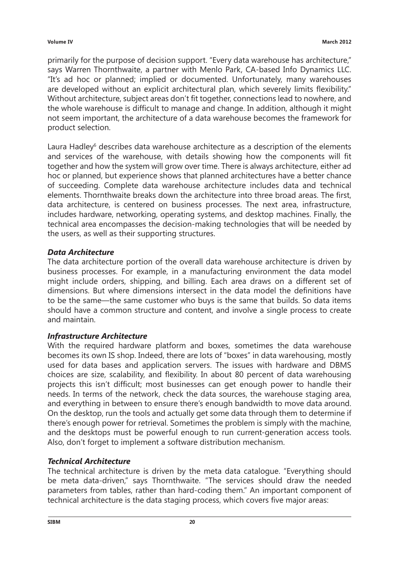primarily for the purpose of decision support. "Every data warehouse has architecture," says Warren Thornthwaite, a partner with Menlo Park, CA-based Info Dynamics LLC. "It's ad hoc or planned; implied or documented. Unfortunately, many warehouses are developed without an explicit architectural plan, which severely limits flexibility." Without architecture, subject areas don't fit together, connections lead to nowhere, and the whole warehouse is difficult to manage and change. In addition, although it might not seem important, the architecture of a data warehouse becomes the framework for product selection.

Laura Hadley<sup>6</sup> describes data warehouse architecture as a description of the elements and services of the warehouse, with details showing how the components will fit together and how the system will grow over time. There is always architecture, either ad hoc or planned, but experience shows that planned architectures have a better chance of succeeding. Complete data warehouse architecture includes data and technical elements. Thornthwaite breaks down the architecture into three broad areas. The first, data architecture, is centered on business processes. The next area, infrastructure, includes hardware, networking, operating systems, and desktop machines. Finally, the technical area encompasses the decision-making technologies that will be needed by the users, as well as their supporting structures.

#### *Data Architecture*

The data architecture portion of the overall data warehouse architecture is driven by business processes. For example, in a manufacturing environment the data model might include orders, shipping, and billing. Each area draws on a different set of dimensions. But where dimensions intersect in the data model the definitions have to be the same—the same customer who buys is the same that builds. So data items should have a common structure and content, and involve a single process to create and maintain.

#### *Infrastructure Architecture*

With the required hardware platform and boxes, sometimes the data warehouse becomes its own IS shop. Indeed, there are lots of "boxes" in data warehousing, mostly used for data bases and application servers. The issues with hardware and DBMS choices are size, scalability, and flexibility. In about 80 percent of data warehousing projects this isn't difficult; most businesses can get enough power to handle their needs. In terms of the network, check the data sources, the warehouse staging area, and everything in between to ensure there's enough bandwidth to move data around. On the desktop, run the tools and actually get some data through them to determine if there's enough power for retrieval. Sometimes the problem is simply with the machine, and the desktops must be powerful enough to run current-generation access tools. Also, don't forget to implement a software distribution mechanism.

#### *Technical Architecture*

The technical architecture is driven by the meta data catalogue. "Everything should be meta data-driven," says Thornthwaite. "The services should draw the needed parameters from tables, rather than hard-coding them." An important component of technical architecture is the data staging process, which covers five major areas: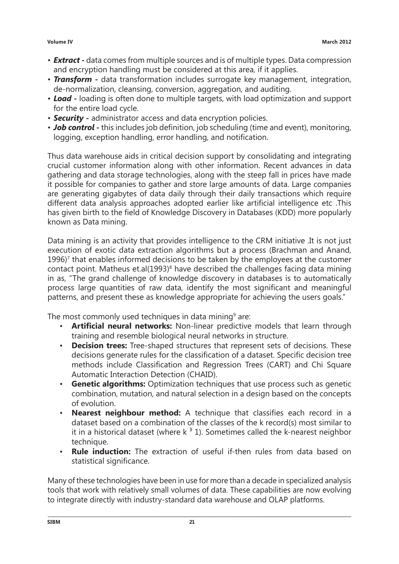- *Extract* **-** data comes from multiple sources and is of multiple types. Data compression and encryption handling must be considered at this area, if it applies.
- *Transform* **-** data transformation includes surrogate key management, integration, de-normalization, cleansing, conversion, aggregation, and auditing.
- *Load* **-** loading is often done to multiple targets, with load optimization and support for the entire load cycle.
- *Security* **-** administrator access and data encryption policies.
- *Job control* **-** this includes job definition, job scheduling (time and event), monitoring, logging, exception handling, error handling, and notification.

Thus data warehouse aids in critical decision support by consolidating and integrating crucial customer information along with other information. Recent advances in data gathering and data storage technologies, along with the steep fall in prices have made it possible for companies to gather and store large amounts of data. Large companies are generating gigabytes of data daily through their daily transactions which require different data analysis approaches adopted earlier like artificial intelligence etc .This has given birth to the field of Knowledge Discovery in Databases (KDD) more popularly known as Data mining.

Data mining is an activity that provides intelligence to the CRM initiative .It is not just execution of exotic data extraction algorithms but a process (Brachman and Anand,  $1996$ <sup> $7$ </sup> that enables informed decisions to be taken by the employees at the customer contact point. Matheus et.al $(1993)^8$  have described the challenges facing data mining in as, "The grand challenge of knowledge discovery in databases is to automatically process large quantities of raw data, identify the most significant and meaningful patterns, and present these as knowledge appropriate for achieving the users goals."

The most commonly used techniques in data mining<sup>9</sup> are:

- **Artificial neural networks:** Non-linear predictive models that learn through training and resemble biological neural networks in structure.
- **Decision trees:** Tree-shaped structures that represent sets of decisions. These decisions generate rules for the classification of a dataset. Specific decision tree methods include Classification and Regression Trees (CART) and Chi Square Automatic Interaction Detection (CHAID).
- **Genetic algorithms:** Optimization techniques that use process such as genetic combination, mutation, and natural selection in a design based on the concepts of evolution.
- **Nearest neighbour method:** A technique that classifies each record in a dataset based on a combination of the classes of the k record(s) most similar to it in a historical dataset (where  $k<sup>3</sup>$  1). Sometimes called the k-nearest neighbor technique.
- **Rule induction:** The extraction of useful if-then rules from data based on statistical significance.

Many of these technologies have been in use for more than a decade in specialized analysis tools that work with relatively small volumes of data. These capabilities are now evolving to integrate directly with industry-standard data warehouse and OLAP platforms.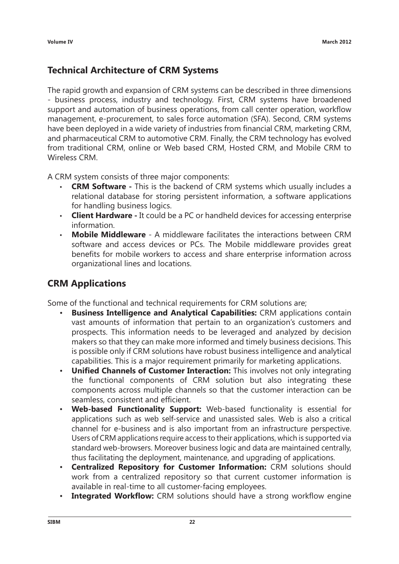## **Technical Architecture of CRM Systems**

The rapid growth and expansion of CRM systems can be described in three dimensions - business process, industry and technology. First, CRM systems have broadened support and automation of business operations, from call center operation, workflow management, e-procurement, to sales force automation (SFA). Second, CRM systems have been deployed in a wide variety of industries from financial CRM, marketing CRM, and pharmaceutical CRM to automotive CRM. Finally, the CRM technology has evolved from traditional CRM, online or Web based CRM, Hosted CRM, and Mobile CRM to Wireless CRM.

A CRM system consists of three major components:

- **CRM Software -** This is the backend of CRM systems which usually includes a relational database for storing persistent information, a software applications for handling business logics.
- **Client Hardware -** It could be a PC or handheld devices for accessing enterprise information.
- **Mobile Middleware** A middleware facilitates the interactions between CRM software and access devices or PCs. The Mobile middleware provides great benefits for mobile workers to access and share enterprise information across organizational lines and locations.

### **CRM Applications**

Some of the functional and technical requirements for CRM solutions are;

- **Business Intelligence and Analytical Capabilities:** CRM applications contain vast amounts of information that pertain to an organization's customers and prospects. This information needs to be leveraged and analyzed by decision makers so that they can make more informed and timely business decisions. This is possible only if CRM solutions have robust business intelligence and analytical capabilities. This is a major requirement primarily for marketing applications.
- **Unified Channels of Customer Interaction:** This involves not only integrating the functional components of CRM solution but also integrating these components across multiple channels so that the customer interaction can be seamless, consistent and efficient.
- **Web-based Functionality Support:** Web-based functionality is essential for applications such as web self-service and unassisted sales. Web is also a critical channel for e-business and is also important from an infrastructure perspective. Users of CRM applications require access to their applications, which is supported via standard web-browsers. Moreover business logic and data are maintained centrally, thus facilitating the deployment, maintenance, and upgrading of applications.
- **Centralized Repository for Customer Information:** CRM solutions should work from a centralized repository so that current customer information is available in real-time to all customer-facing employees.
- **Integrated Workflow:** CRM solutions should have a strong workflow engine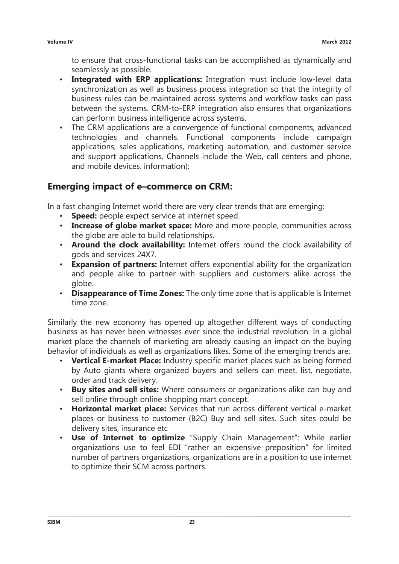to ensure that cross-functional tasks can be accomplished as dynamically and seamlessly as possible.

- **Integrated with ERP applications:** Integration must include low-level data synchronization as well as business process integration so that the integrity of business rules can be maintained across systems and workflow tasks can pass between the systems. CRM-to-ERP integration also ensures that organizations can perform business intelligence across systems.
- The CRM applications are a convergence of functional components, advanced technologies and channels. Functional components include campaign applications, sales applications, marketing automation, and customer service and support applications. Channels include the Web, call centers and phone, and mobile devices. information);

#### **Emerging impact of e–commerce on CRM:**

In a fast changing Internet world there are very clear trends that are emerging:

- **Speed:** people expect service at internet speed.
- **Increase of globe market space:** More and more people, communities across the globe are able to build relationships.
- **Around the clock availability:** Internet offers round the clock availability of gods and services 24X7.
- **Expansion of partners:** Internet offers exponential ability for the organization and people alike to partner with suppliers and customers alike across the globe.
- **Disappearance of Time Zones:** The only time zone that is applicable is Internet time zone.

Similarly the new economy has opened up altogether different ways of conducting business as has never been witnesses ever since the industrial revolution. In a global market place the channels of marketing are already causing an impact on the buying behavior of individuals as well as organizations likes. Some of the emerging trends are:

- **Vertical E-market Place:** Industry specific market places such as being formed by Auto giants where organized buyers and sellers can meet, list, negotiate, order and track delivery.
- **Buy sites and sell sites:** Where consumers or organizations alike can buy and sell online through online shopping mart concept.
- **Horizontal market place:** Services that run across different vertical e-market places or business to customer (B2C) Buy and sell sites. Such sites could be delivery sites, insurance etc
- **Use of Internet to optimize** "Supply Chain Management": While earlier organizations use to feel EDI "rather an expensive preposition" for limited number of partners organizations, organizations are in a position to use internet to optimize their SCM across partners.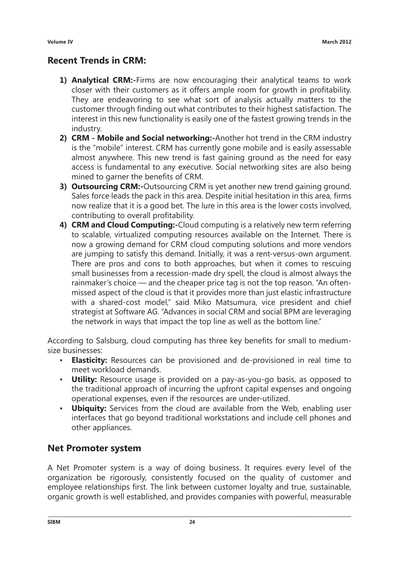# **Recent Trends in CRM:**

- **1) Analytical CRM:-**Firms are now encouraging their analytical teams to work closer with their customers as it offers ample room for growth in profitability. They are endeavoring to see what sort of analysis actually matters to the customer through finding out what contributes to their highest satisfaction. The interest in this new functionality is easily one of the fastest growing trends in the industry.
- **2) CRM Mobile and Social networking:-**Another hot trend in the CRM industry is the "mobile" interest. CRM has currently gone mobile and is easily assessable almost anywhere. This new trend is fast gaining ground as the need for easy access is fundamental to any executive. Social networking sites are also being mined to garner the benefits of CRM.
- **3) Outsourcing CRM:-**Outsourcing CRM is yet another new trend gaining ground. Sales force leads the pack in this area. Despite initial hesitation in this area, firms now realize that it is a good bet. The lure in this area is the lower costs involved, contributing to overall profitability.
- **4) CRM and Cloud Computing:-**Cloud computing is a relatively new term referring to scalable, virtualized computing resources available on the Internet. There is now a growing demand for CRM cloud computing solutions and more vendors are jumping to satisfy this demand. Initially, it was a rent-versus-own argument. There are pros and cons to both approaches, but when it comes to rescuing small businesses from a recession-made dry spell, the cloud is almost always the rainmaker's choice — and the cheaper price tag is not the top reason. "An oftenmissed aspect of the cloud is that it provides more than just elastic infrastructure with a shared-cost model," said Miko Matsumura, vice president and chief strategist at Software AG. "Advances in social CRM and social BPM are leveraging the network in ways that impact the top line as well as the bottom line."

According to Salsburg, cloud computing has three key benefits for small to mediumsize businesses:

- **Elasticity:** Resources can be provisioned and de-provisioned in real time to meet workload demands.
- **Utility:** Resource usage is provided on a pay-as-you-go basis, as opposed to the traditional approach of incurring the upfront capital expenses and ongoing operational expenses, even if the resources are under-utilized.
- **Ubiquity:** Services from the cloud are available from the Web, enabling user interfaces that go beyond traditional workstations and include cell phones and other appliances.

### **Net Promoter system**

A Net Promoter system is a way of doing business. It requires every level of the organization be rigorously, consistently focused on the quality of customer and employee relationships first. The link between customer loyalty and true, sustainable, organic growth is well established, and provides companies with powerful, measurable